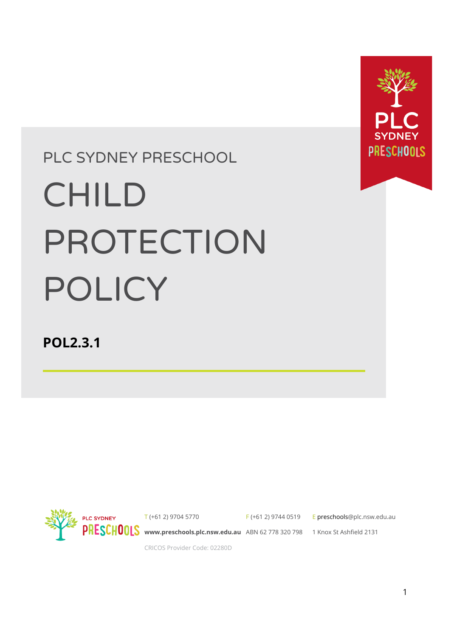

# PLC SYDNEY PRESCHOOL

# CHILD PROTECTION POLICY

**POL2.3.1**



T (+61 2) 9704 5770

F (+61 2) 9744 0519

E preschool[s@plc.nsw.edu.au](mailto:enquiries@plc.nsw.edu.au)

**[www.preschools.plc.nsw.edu.au](http://www.plc.nsw.edu.au)** ABN 62 778 320 798 1 Knox St Ashfield 2131

CRICOS Provider Code: 02280D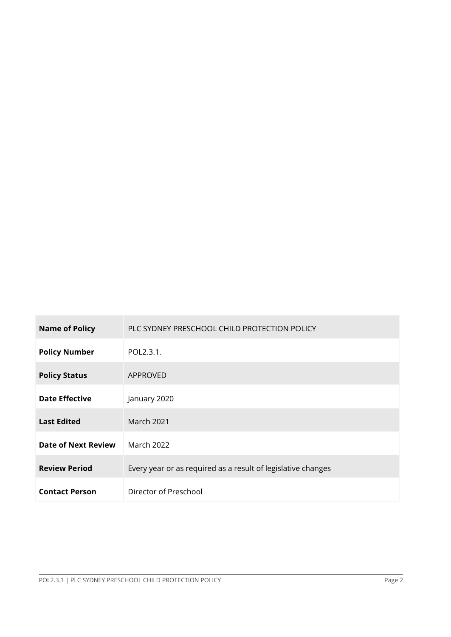| <b>Name of Policy</b>      | PLC SYDNEY PRESCHOOL CHILD PROTECTION POLICY                 |  |  |
|----------------------------|--------------------------------------------------------------|--|--|
| <b>Policy Number</b>       | POL2.3.1.                                                    |  |  |
| <b>Policy Status</b>       | APPROVED                                                     |  |  |
| <b>Date Effective</b>      | January 2020                                                 |  |  |
| <b>Last Edited</b>         | <b>March 2021</b>                                            |  |  |
| <b>Date of Next Review</b> | <b>March 2022</b>                                            |  |  |
| <b>Review Period</b>       | Every year or as required as a result of legislative changes |  |  |
| <b>Contact Person</b>      | Director of Preschool                                        |  |  |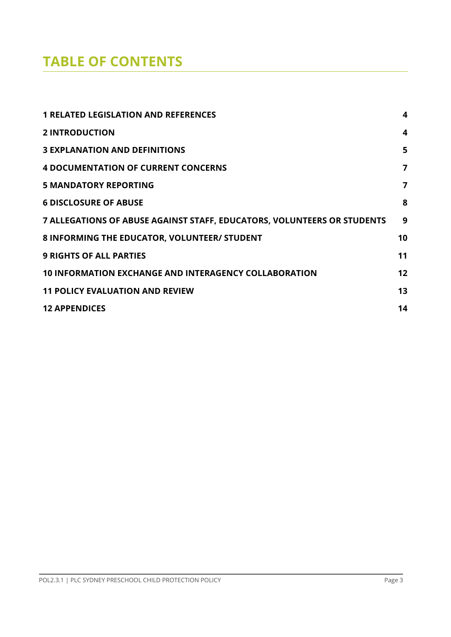# **TABLE OF CONTENTS**

| <b>1 RELATED LEGISLATION AND REFERENCES</b>                             | $\boldsymbol{4}$ |
|-------------------------------------------------------------------------|------------------|
| <b>2 INTRODUCTION</b>                                                   | 4                |
| <b>3 EXPLANATION AND DEFINITIONS</b>                                    | 5                |
| <b>4 DOCUMENTATION OF CURRENT CONCERNS</b>                              | 7                |
| <b>5 MANDATORY REPORTING</b>                                            | 7                |
| <b>6 DISCLOSURE OF ABUSE</b>                                            | 8                |
| 7 ALLEGATIONS OF ABUSE AGAINST STAFF, EDUCATORS, VOLUNTEERS OR STUDENTS | 9                |
| 8 INFORMING THE EDUCATOR, VOLUNTEER/ STUDENT                            | 10               |
| <b>9 RIGHTS OF ALL PARTIES</b>                                          | 11               |
| <b>10 INFORMATION EXCHANGE AND INTERAGENCY COLLABORATION</b>            | 12               |
| <b>11 POLICY EVALUATION AND REVIEW</b>                                  | 13               |
| <b>12 APPENDICES</b>                                                    | 14               |
|                                                                         |                  |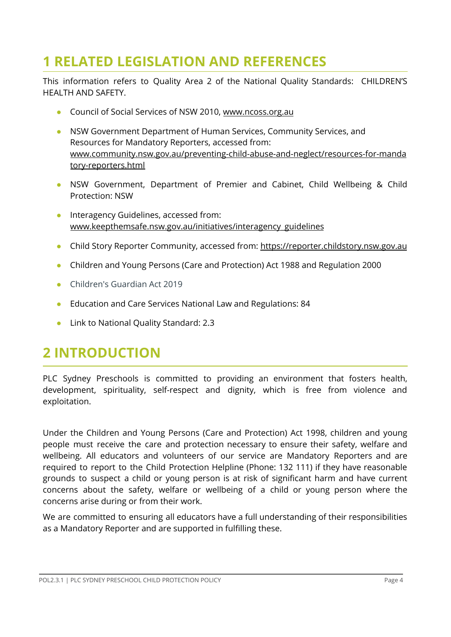# <span id="page-3-0"></span>**1 RELATED LEGISLATION AND REFERENCES**

This information refers to Quality Area 2 of the National Quality Standards: CHILDREN'S HEALTH AND SAFETY.

- Council of Social Services of NSW 2010, [www.ncoss.org.au](http://www.ncoss.org.au)
- NSW Government Department of Human Services, Community Services, and Resources for Mandatory Reporters, accessed from: [www.community.nsw.gov.au/preventing-child-abuse-and-neglect/resources-for-manda](http://www.community.nsw.gov.au/preventing-child-abuse-and-neglect/resources-for-mandatory-reporters.html) [tory-reporters.html](http://www.community.nsw.gov.au/preventing-child-abuse-and-neglect/resources-for-mandatory-reporters.html)
- NSW Government, Department of Premier and Cabinet, Child Wellbeing & Child Protection: NSW
- Interagency Guidelines, accessed from: [www.keepthemsafe.nsw.gov.au/initiatives/interagency\\_guidelines](http://www.keepthemsafe.nsw.gov.au/initiatives/interagency_guidelines)
- Child Story Reporter Community, accessed from: <https://reporter.childstory.nsw.gov.au>
- Children and Young Persons (Care and Protection) Act 1988 and Regulation 2000
- Children's Guardian Act 2019
- Education and Care Services National Law and Regulations: 84
- Link to National Quality Standard: 2.3

## <span id="page-3-1"></span>**2 INTRODUCTION**

PLC Sydney Preschools is committed to providing an environment that fosters health, development, spirituality, self-respect and dignity, which is free from violence and exploitation.

Under the Children and Young Persons (Care and Protection) Act 1998, children and young people must receive the care and protection necessary to ensure their safety, welfare and wellbeing. All educators and volunteers of our service are Mandatory Reporters and are required to report to the Child Protection Helpline (Phone: 132 111) if they have reasonable grounds to suspect a child or young person is at risk of significant harm and have current concerns about the safety, welfare or wellbeing of a child or young person where the concerns arise during or from their work.

We are committed to ensuring all educators have a full understanding of their responsibilities as a Mandatory Reporter and are supported in fulfilling these.

POL2.3.1 | PLC SYDNEY PRESCHOOL CHILD PROTECTION POLICY PAGE 4 | PLC SYDNEY PAGE 4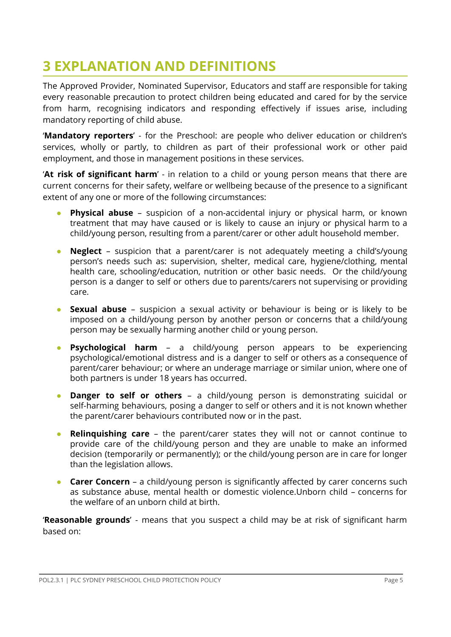## <span id="page-4-0"></span>**3 EXPLANATION AND DEFINITIONS**

The Approved Provider, Nominated Supervisor, Educators and staff are responsible for taking every reasonable precaution to protect children being educated and cared for by the service from harm, recognising indicators and responding effectively if issues arise, including mandatory reporting of child abuse.

'**Mandatory reporters**' - for the Preschool: are people who deliver education or children's services, wholly or partly, to children as part of their professional work or other paid employment, and those in management positions in these services.

'**At risk of significant harm**' - in relation to a child or young person means that there are current concerns for their safety, welfare or wellbeing because of the presence to a significant extent of any one or more of the following circumstances:

- **Physical abuse** suspicion of a non-accidental injury or physical harm, or known treatment that may have caused or is likely to cause an injury or physical harm to a child/young person, resulting from a parent/carer or other adult household member.
- **Neglect** suspicion that a parent/carer is not adequately meeting a child's/young person's needs such as: supervision, shelter, medical care, hygiene/clothing, mental health care, schooling/education, nutrition or other basic needs. Or the child/young person is a danger to self or others due to parents/carers not supervising or providing care.
- **Sexual abuse** suspicion a sexual activity or behaviour is being or is likely to be imposed on a child/young person by another person or concerns that a child/young person may be sexually harming another child or young person.
- **Psychological harm** a child/young person appears to be experiencing psychological/emotional distress and is a danger to self or others as a consequence of parent/carer behaviour; or where an underage marriage or similar union, where one of both partners is under 18 years has occurred.
- **Danger to self or others** a child/young person is demonstrating suicidal or self-harming behaviours, posing a danger to self or others and it is not known whether the parent/carer behaviours contributed now or in the past.
- **Relinquishing care** the parent/carer states they will not or cannot continue to provide care of the child/young person and they are unable to make an informed decision (temporarily or permanently); or the child/young person are in care for longer than the legislation allows.
- **Carer Concern** a child/young person is significantly affected by carer concerns such as substance abuse, mental health or domestic violence.Unborn child – concerns for the welfare of an unborn child at birth.

'**Reasonable grounds**' - means that you suspect a child may be at risk of significant harm based on: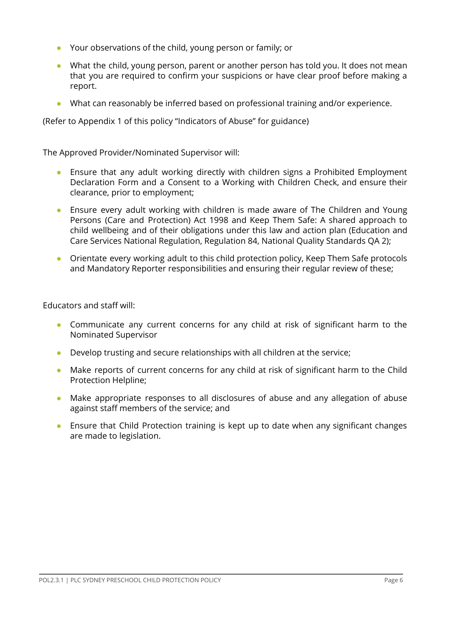- Your observations of the child, young person or family; or
- What the child, young person, parent or another person has told you. It does not mean that you are required to confirm your suspicions or have clear proof before making a report.
- What can reasonably be inferred based on professional training and/or experience.

(Refer to Appendix 1 of this policy "Indicators of Abuse" for guidance)

The Approved Provider/Nominated Supervisor will:

- Ensure that any adult working directly with children signs a Prohibited Employment Declaration Form and a Consent to a Working with Children Check, and ensure their clearance, prior to employment;
- Ensure every adult working with children is made aware of The Children and Young Persons (Care and Protection) Act 1998 and Keep Them Safe: A shared approach to child wellbeing and of their obligations under this law and action plan (Education and Care Services National Regulation, Regulation 84, National Quality Standards QA 2);
- Orientate every working adult to this child protection policy, Keep Them Safe protocols and Mandatory Reporter responsibilities and ensuring their regular review of these;

Educators and staff will:

- Communicate any current concerns for any child at risk of significant harm to the Nominated Supervisor
- Develop trusting and secure relationships with all children at the service;
- Make reports of current concerns for any child at risk of significant harm to the Child Protection Helpline;
- Make appropriate responses to all disclosures of abuse and any allegation of abuse against staff members of the service; and
- Ensure that Child Protection training is kept up to date when any significant changes are made to legislation.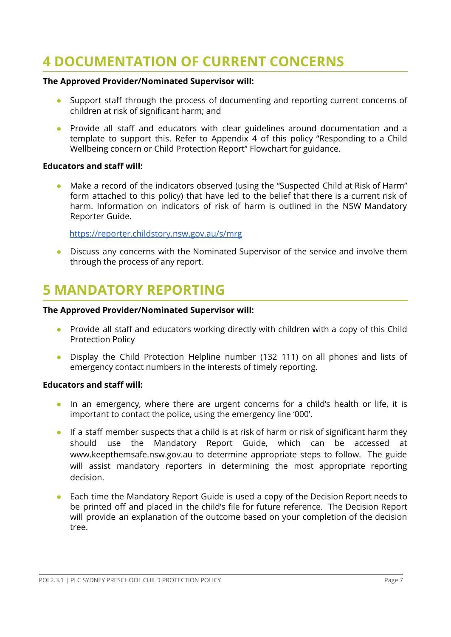# <span id="page-6-0"></span>**4 DOCUMENTATION OF CURRENT CONCERNS**

#### **The Approved Provider/Nominated Supervisor will:**

- Support staff through the process of documenting and reporting current concerns of children at risk of significant harm; and
- Provide all staff and educators with clear guidelines around documentation and a template to support this. Refer to Appendix 4 of this policy "Responding to a Child Wellbeing concern or Child Protection Report" Flowchart for guidance.

#### **Educators and staff will:**

● Make a record of the indicators observed (using the "Suspected Child at Risk of Harm" form attached to this policy) that have led to the belief that there is a current risk of harm. Information on indicators of risk of harm is outlined in the NSW Mandatory Reporter Guide.

<https://reporter.childstory.nsw.gov.au/s/mrg>

● Discuss any concerns with the Nominated Supervisor of the service and involve them through the process of any report.

## <span id="page-6-1"></span>**5 MANDATORY REPORTING**

#### **The Approved Provider/Nominated Supervisor will:**

- Provide all staff and educators working directly with children with a copy of this Child Protection Policy
- Display the Child Protection Helpline number (132 111) on all phones and lists of emergency contact numbers in the interests of timely reporting.

#### **Educators and staff will:**

- In an emergency, where there are urgent concerns for a child's health or life, it is important to contact the police, using the emergency line '000'.
- If a staff member suspects that a child is at risk of harm or risk of significant harm they should use the Mandatory Report Guide, which can be accessed at [www.keepthemsafe.nsw.gov.au](http://www.keepthemsafe.nsw.gov.au) to determine appropriate steps to follow. The guide will assist mandatory reporters in determining the most appropriate reporting decision.
- Each time the Mandatory Report Guide is used a copy of the Decision Report needs to be printed off and placed in the child's file for future reference. The Decision Report will provide an explanation of the outcome based on your completion of the decision tree.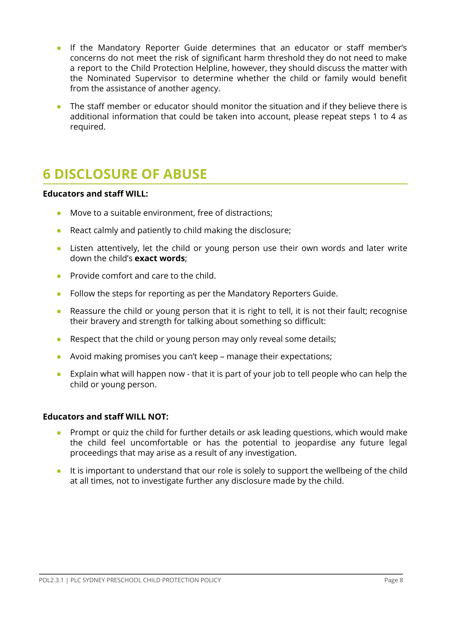- If the Mandatory Reporter Guide determines that an educator or staff member's concerns do not meet the risk of significant harm threshold they do not need to make a report to the Child Protection Helpline, however, they should discuss the matter with the Nominated Supervisor to determine whether the child or family would benefit from the assistance of another agency.
- The staff member or educator should monitor the situation and if they believe there is additional information that could be taken into account, please repeat steps 1 to 4 as required.

## <span id="page-7-0"></span>**6 DISCLOSURE OF ABUSE**

#### **Educators and staff WILL:**

- Move to a suitable environment, free of distractions;
- React calmly and patiently to child making the disclosure;
- Listen attentively, let the child or young person use their own words and later write down the child's **exact words**;
- Provide comfort and care to the child.
- Follow the steps for reporting as per the Mandatory Reporters Guide.
- Reassure the child or young person that it is right to tell, it is not their fault; recognise their bravery and strength for talking about something so difficult:
- Respect that the child or young person may only reveal some details;
- Avoid making promises you can't keep manage their expectations;
- Explain what will happen now that it is part of your job to tell people who can help the child or young person.

#### **Educators and staff WILL NOT:**

- Prompt or quiz the child for further details or ask leading questions, which would make the child feel uncomfortable or has the potential to jeopardise any future legal proceedings that may arise as a result of any investigation.
- It is important to understand that our role is solely to support the wellbeing of the child at all times, not to investigate further any disclosure made by the child.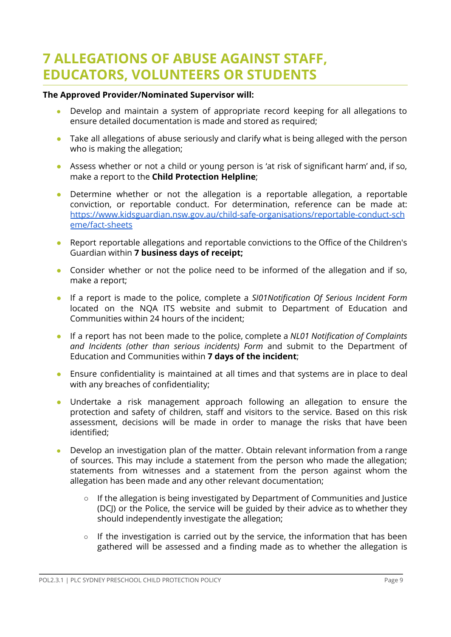## <span id="page-8-0"></span>**7 ALLEGATIONS OF ABUSE AGAINST STAFF, EDUCATORS, VOLUNTEERS OR STUDENTS**

#### **The Approved Provider/Nominated Supervisor will:**

- Develop and maintain a system of appropriate record keeping for all allegations to ensure detailed documentation is made and stored as required;
- Take all allegations of abuse seriously and clarify what is being alleged with the person who is making the allegation;
- Assess whether or not a child or young person is 'at risk of significant harm' and, if so, make a report to the **Child Protection Helpline**;
- Determine whether or not the allegation is a reportable allegation, a reportable conviction, or reportable conduct. For determination, reference can be made at: [https://www.kidsguardian.nsw.gov.au/child-safe-organisations/reportable-conduct-sch](https://www.kidsguardian.nsw.gov.au/child-safe-organisations/reportable-conduct-scheme/fact-sheets) [eme/fact-sheets](https://www.kidsguardian.nsw.gov.au/child-safe-organisations/reportable-conduct-scheme/fact-sheets)
- Report reportable allegations and reportable convictions to the Office of the Children's Guardian within **7 business days of receipt;**
- Consider whether or not the police need to be informed of the allegation and if so, make a report;
- If a report is made to the police, complete a *SI01Notification Of Serious Incident Form* located on the NQA ITS website and submit to Department of Education and Communities within 24 hours of the incident;
- If a report has not been made to the police, complete a *NL01 Notification of Complaints and Incidents (other than serious incidents) Form* and submit to the Department of Education and Communities within **7 days of the incident**;
- Ensure confidentiality is maintained at all times and that systems are in place to deal with any breaches of confidentiality;
- Undertake a risk management approach following an allegation to ensure the protection and safety of children, staff and visitors to the service. Based on this risk assessment, decisions will be made in order to manage the risks that have been identified;
- Develop an investigation plan of the matter. Obtain relevant information from a range of sources. This may include a statement from the person who made the allegation; statements from witnesses and a statement from the person against whom the allegation has been made and any other relevant documentation;
	- If the allegation is being investigated by Department of Communities and Justice (DCJ) or the Police, the service will be guided by their advice as to whether they should independently investigate the allegation;
	- If the investigation is carried out by the service, the information that has been gathered will be assessed and a finding made as to whether the allegation is

POL2.3.1 | PLC SYDNEY PRESCHOOL CHILD PROTECTION POLICY Page 9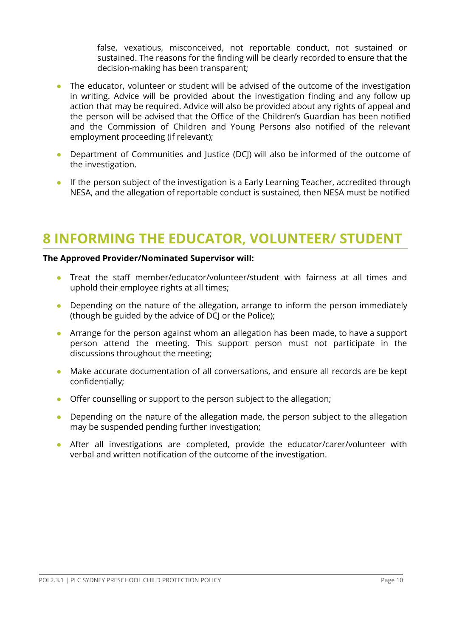false, vexatious, misconceived, not reportable conduct, not sustained or sustained. The reasons for the finding will be clearly recorded to ensure that the decision-making has been transparent;

- The educator, volunteer or student will be advised of the outcome of the investigation in writing. Advice will be provided about the investigation finding and any follow up action that may be required. Advice will also be provided about any rights of appeal and the person will be advised that the Office of the Children's Guardian has been notified and the Commission of Children and Young Persons also notified of the relevant employment proceeding (if relevant);
- Department of Communities and Justice (DCJ) will also be informed of the outcome of the investigation.
- If the person subject of the investigation is a Early Learning Teacher, accredited through NESA, and the allegation of reportable conduct is sustained, then NESA must be notified

## <span id="page-9-0"></span>**8 INFORMING THE EDUCATOR, VOLUNTEER/ STUDENT**

#### **The Approved Provider/Nominated Supervisor will:**

- Treat the staff member/educator/volunteer/student with fairness at all times and uphold their employee rights at all times;
- Depending on the nature of the allegation, arrange to inform the person immediately (though be guided by the advice of DCJ or the Police);
- Arrange for the person against whom an allegation has been made, to have a support person attend the meeting. This support person must not participate in the discussions throughout the meeting;
- Make accurate documentation of all conversations, and ensure all records are be kept confidentially;
- Offer counselling or support to the person subject to the allegation;
- Depending on the nature of the allegation made, the person subject to the allegation may be suspended pending further investigation;
- After all investigations are completed, provide the educator/carer/volunteer with verbal and written notification of the outcome of the investigation.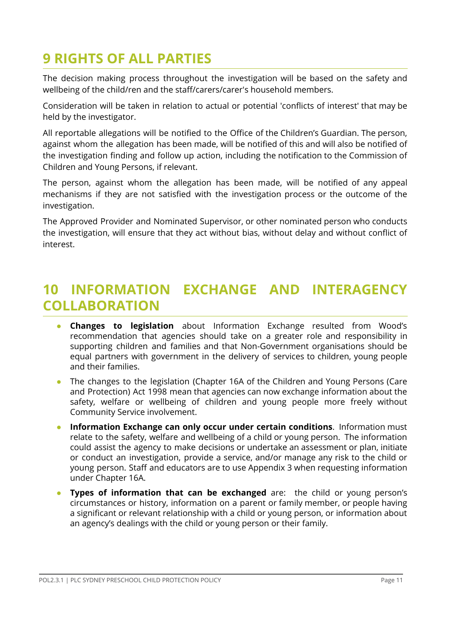# <span id="page-10-0"></span>**9 RIGHTS OF ALL PARTIES**

The decision making process throughout the investigation will be based on the safety and wellbeing of the child/ren and the staff/carers/carer's household members.

Consideration will be taken in relation to actual or potential 'conflicts of interest' that may be held by the investigator.

All reportable allegations will be notified to the Office of the Children's Guardian. The person, against whom the allegation has been made, will be notified of this and will also be notified of the investigation finding and follow up action, including the notification to the Commission of Children and Young Persons, if relevant.

The person, against whom the allegation has been made, will be notified of any appeal mechanisms if they are not satisfied with the investigation process or the outcome of the investigation.

The Approved Provider and Nominated Supervisor, or other nominated person who conducts the investigation, will ensure that they act without bias, without delay and without conflict of interest.

## <span id="page-10-1"></span>**10 INFORMATION EXCHANGE AND INTERAGENCY COLLABORATION**

- **Changes to legislation** about Information Exchange resulted from Wood's recommendation that agencies should take on a greater role and responsibility in supporting children and families and that Non-Government organisations should be equal partners with government in the delivery of services to children, young people and their families.
- The changes to the legislation (Chapter 16A of the Children and Young Persons (Care and Protection) Act 1998 mean that agencies can now exchange information about the safety, welfare or wellbeing of children and young people more freely without Community Service involvement.
- **Information Exchange can only occur under certain conditions**. Information must relate to the safety, welfare and wellbeing of a child or young person. The information could assist the agency to make decisions or undertake an assessment or plan, initiate or conduct an investigation, provide a service, and/or manage any risk to the child or young person. Staff and educators are to use Appendix 3 when requesting information under Chapter 16A.
- **Types of information that can be exchanged** are: the child or young person's circumstances or history, information on a parent or family member, or people having a significant or relevant relationship with a child or young person, or information about an agency's dealings with the child or young person or their family.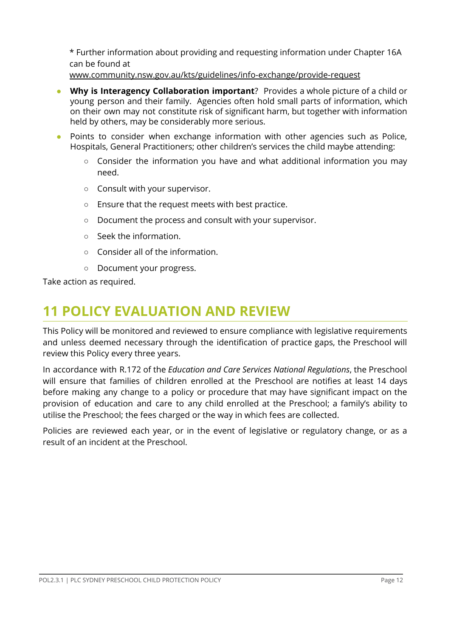\* Further information about providing and requesting information under Chapter 16A can be found at

[www.community.nsw.gov.au/kts/guidelines/info-exchange/provide-request](http://www.community.nsw.gov.au/kts/guidelines/info-exchange/provide-request)

- **Why** is Interagency **Collaboration important**? Provides a whole picture of a child or young person and their family. Agencies often hold small parts of information, which on their own may not constitute risk of significant harm, but together with information held by others, may be considerably more serious.
- Points to consider when exchange information with other agencies such as Police, Hospitals, General Practitioners; other children's services the child maybe attending:
	- Consider the information you have and what additional information you may need.
	- Consult with your supervisor.
	- Ensure that the request meets with best practice.
	- Document the process and consult with your supervisor.
	- Seek the information.
	- Consider all of the information.
	- Document your progress.

Take action as required.

## <span id="page-11-0"></span>**11 POLICY EVALUATION AND REVIEW**

This Policy will be monitored and reviewed to ensure compliance with legislative requirements and unless deemed necessary through the identification of practice gaps, the Preschool will review this Policy every three years.

In accordance with R.172 of the *Education and Care Services National Regulations*, the Preschool will ensure that families of children enrolled at the Preschool are notifies at least 14 days before making any change to a policy or procedure that may have significant impact on the provision of education and care to any child enrolled at the Preschool; a family's ability to utilise the Preschool; the fees charged or the way in which fees are collected.

Policies are reviewed each year, or in the event of legislative or regulatory change, or as a result of an incident at the Preschool.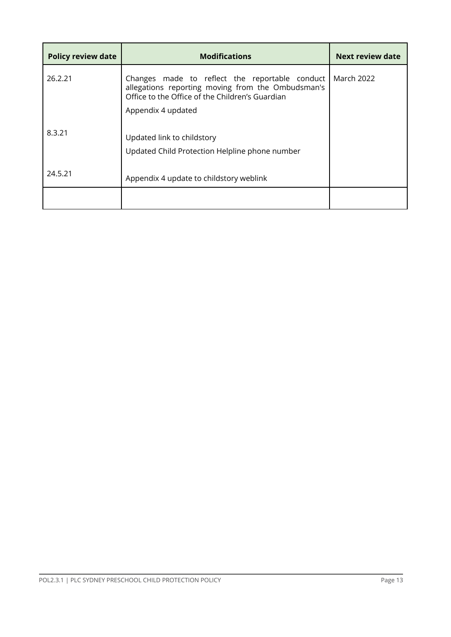| <b>Policy review date</b> | <b>Modifications</b>                                                                                                                                   | Next review date  |
|---------------------------|--------------------------------------------------------------------------------------------------------------------------------------------------------|-------------------|
| 26.2.21                   | Changes made to reflect the reportable conduct<br>allegations reporting moving from the Ombudsman's<br>Office to the Office of the Children's Guardian | <b>March 2022</b> |
| 8.3.21                    | Appendix 4 updated<br>Updated link to childstory<br>Updated Child Protection Helpline phone number                                                     |                   |
| 24.5.21                   | Appendix 4 update to childstory weblink                                                                                                                |                   |
|                           |                                                                                                                                                        |                   |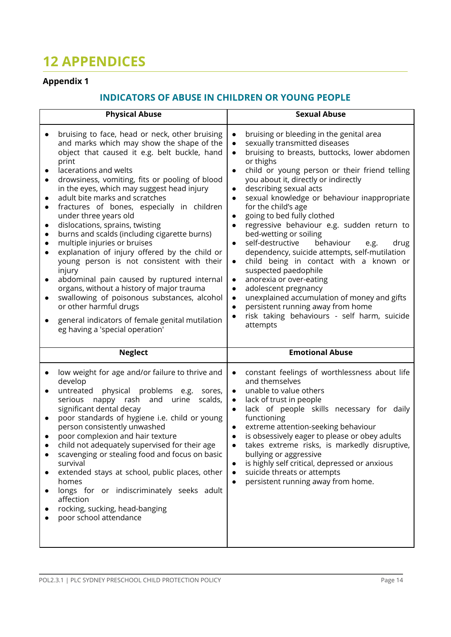# <span id="page-13-0"></span>**12 APPENDICES**

## **Appendix 1**

## **INDICATORS OF ABUSE IN CHILDREN OR YOUNG PEOPLE**

| <b>Physical Abuse</b>                                                                                                                                                                                                                                                                                                                                                                                                                                                                                                                                                                                                                                                                                                                                                                                                                                                                                                                                                  | <b>Sexual Abuse</b>                                                                                                                                                                                                                                                                                                                                                                                                                                                                                                                                                                                                                                                                                                                                                                                                                                                                                                                                                                                            |  |  |
|------------------------------------------------------------------------------------------------------------------------------------------------------------------------------------------------------------------------------------------------------------------------------------------------------------------------------------------------------------------------------------------------------------------------------------------------------------------------------------------------------------------------------------------------------------------------------------------------------------------------------------------------------------------------------------------------------------------------------------------------------------------------------------------------------------------------------------------------------------------------------------------------------------------------------------------------------------------------|----------------------------------------------------------------------------------------------------------------------------------------------------------------------------------------------------------------------------------------------------------------------------------------------------------------------------------------------------------------------------------------------------------------------------------------------------------------------------------------------------------------------------------------------------------------------------------------------------------------------------------------------------------------------------------------------------------------------------------------------------------------------------------------------------------------------------------------------------------------------------------------------------------------------------------------------------------------------------------------------------------------|--|--|
| bruising to face, head or neck, other bruising<br>and marks which may show the shape of the<br>object that caused it e.g. belt buckle, hand<br>print<br>lacerations and welts<br>drowsiness, vomiting, fits or pooling of blood<br>$\bullet$<br>in the eyes, which may suggest head injury<br>adult bite marks and scratches<br>fractures of bones, especially in children<br>$\bullet$<br>under three years old<br>dislocations, sprains, twisting<br>$\bullet$<br>burns and scalds (including cigarette burns)<br>$\bullet$<br>multiple injuries or bruises<br>explanation of injury offered by the child or<br>$\bullet$<br>young person is not consistent with their<br>injury<br>abdominal pain caused by ruptured internal<br>$\bullet$<br>organs, without a history of major trauma<br>swallowing of poisonous substances, alcohol<br>$\bullet$<br>or other harmful drugs<br>general indicators of female genital mutilation<br>eg having a 'special operation' | bruising or bleeding in the genital area<br>$\bullet$<br>sexually transmitted diseases<br>$\bullet$<br>bruising to breasts, buttocks, lower abdomen<br>$\bullet$<br>or thighs<br>child or young person or their friend telling<br>$\bullet$<br>you about it, directly or indirectly<br>describing sexual acts<br>$\bullet$<br>sexual knowledge or behaviour inappropriate<br>$\bullet$<br>for the child's age<br>going to bed fully clothed<br>$\bullet$<br>regressive behaviour e.g. sudden return to<br>$\bullet$<br>bed-wetting or soiling<br>behaviour<br>self-destructive<br>drug<br>e.g.<br>$\bullet$<br>dependency, suicide attempts, self-mutilation<br>child being in contact with a known or<br>$\bullet$<br>suspected paedophile<br>anorexia or over-eating<br>$\bullet$<br>adolescent pregnancy<br>$\bullet$<br>unexplained accumulation of money and gifts<br>$\bullet$<br>persistent running away from home<br>$\bullet$<br>risk taking behaviours - self harm, suicide<br>$\bullet$<br>attempts |  |  |
| <b>Neglect</b>                                                                                                                                                                                                                                                                                                                                                                                                                                                                                                                                                                                                                                                                                                                                                                                                                                                                                                                                                         | <b>Emotional Abuse</b>                                                                                                                                                                                                                                                                                                                                                                                                                                                                                                                                                                                                                                                                                                                                                                                                                                                                                                                                                                                         |  |  |
| low weight for age and/or failure to thrive and<br>develop<br>physical problems e.g. sores,<br>untreated<br>$\bullet$<br>nappy rash<br>and urine<br>scalds,<br>serious<br>significant dental decay<br>poor standards of hygiene i.e. child or young<br>$\bullet$<br>person consistently unwashed<br>poor complexion and hair texture<br>child not adequately supervised for their age<br>scavenging or stealing food and focus on basic<br>survival<br>extended stays at school, public places, other<br>homes<br>longs for or indiscriminately seeks adult<br>$\bullet$<br>affection<br>rocking, sucking, head-banging<br>poor school attendance                                                                                                                                                                                                                                                                                                                      | constant feelings of worthlessness about life<br>$\bullet$<br>and themselves<br>unable to value others<br>$\bullet$<br>lack of trust in people<br>$\bullet$<br>lack of people skills necessary for daily<br>$\bullet$<br>functioning<br>extreme attention-seeking behaviour<br>$\bullet$<br>is obsessively eager to please or obey adults<br>$\bullet$<br>takes extreme risks, is markedly disruptive,<br>bullying or aggressive<br>is highly self critical, depressed or anxious<br>$\bullet$<br>suicide threats or attempts<br>$\bullet$<br>persistent running away from home.<br>$\bullet$                                                                                                                                                                                                                                                                                                                                                                                                                  |  |  |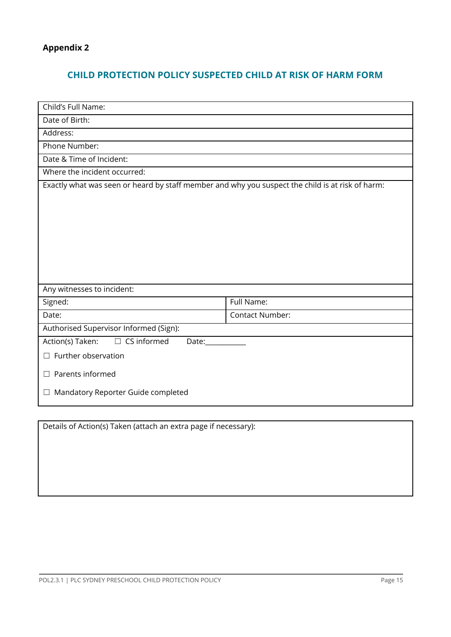## **CHILD PROTECTION POLICY SUSPECTED CHILD AT RISK OF HARM FORM**

| Child's Full Name:                                                                               |                        |  |  |  |  |
|--------------------------------------------------------------------------------------------------|------------------------|--|--|--|--|
| Date of Birth:                                                                                   |                        |  |  |  |  |
| Address:                                                                                         |                        |  |  |  |  |
| Phone Number:                                                                                    |                        |  |  |  |  |
| Date & Time of Incident:                                                                         |                        |  |  |  |  |
| Where the incident occurred:                                                                     |                        |  |  |  |  |
| Exactly what was seen or heard by staff member and why you suspect the child is at risk of harm: |                        |  |  |  |  |
|                                                                                                  |                        |  |  |  |  |
|                                                                                                  |                        |  |  |  |  |
|                                                                                                  |                        |  |  |  |  |
|                                                                                                  |                        |  |  |  |  |
|                                                                                                  |                        |  |  |  |  |
|                                                                                                  |                        |  |  |  |  |
|                                                                                                  |                        |  |  |  |  |
| Any witnesses to incident:                                                                       |                        |  |  |  |  |
| Signed:                                                                                          | Full Name:             |  |  |  |  |
| Date:                                                                                            | <b>Contact Number:</b> |  |  |  |  |
| Authorised Supervisor Informed (Sign):                                                           |                        |  |  |  |  |
| $\Box$ CS informed<br>Action(s) Taken:<br>Date:                                                  |                        |  |  |  |  |
| $\Box$ Further observation                                                                       |                        |  |  |  |  |
| $\Box$ Parents informed                                                                          |                        |  |  |  |  |
| Mandatory Reporter Guide completed<br>$\Box$                                                     |                        |  |  |  |  |

Details of Action(s) Taken (attach an extra page if necessary):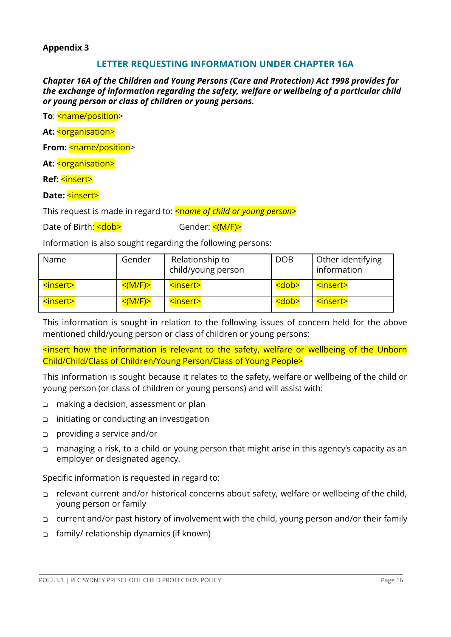#### **Appendix 3**

#### **LETTER REQUESTING INFORMATION UNDER CHAPTER 16A**

*Chapter 16A of the Children and Young Persons (Care and Protection) Act 1998 provides for the exchange of information regarding the safety, welfare or wellbeing of a particular child or young person or class of children or young persons.*

**To: <name/position>** 

**At:** <organisation>

**From:** <name/position>

At: <organisation>

**Ref:** <insert>

#### **Date:** <insert>

This request is made in regard to: **<name of child or young person>** 

Date of Birth: <dob> Gender: <(M/F)

Information is also sought regarding the following persons:

| Name                     | Gender        | Relationship to<br>child/young person | <b>DOB</b>  | Other identifying<br>information |
|--------------------------|---------------|---------------------------------------|-------------|----------------------------------|
| <insert></insert>        | $<$ (M/F) $>$ | <insert></insert>                     | <dob></dob> | <insert></insert>                |
| <u><insert></insert></u> | $\leq (M/F)$  | <insert></insert>                     | <dob></dob> | <insert></insert>                |

This information is sought in relation to the following issues of concern held for the above mentioned child/young person or class of children or young persons:

<insert how the information is relevant to the safety, welfare or wellbeing of the Unborn Child/Child/Class of Children/Young Person/Class of Young People>

This information is sought because it relates to the safety, welfare or wellbeing of the child or young person (or class of children or young persons) and will assist with:

- ❑ making a decision, assessment or plan
- ❑ initiating or conducting an investigation
- ❑ providing a service and/or
- ❑ managing a risk, to a child or young person that might arise in this agency's capacity as an employer or designated agency.

Specific information is requested in regard to:

- ❑ relevant current and/or historical concerns about safety, welfare or wellbeing of the child, young person or family
- ❑ current and/or past history of involvement with the child, young person and/or their family
- ❑ family/ relationship dynamics (if known)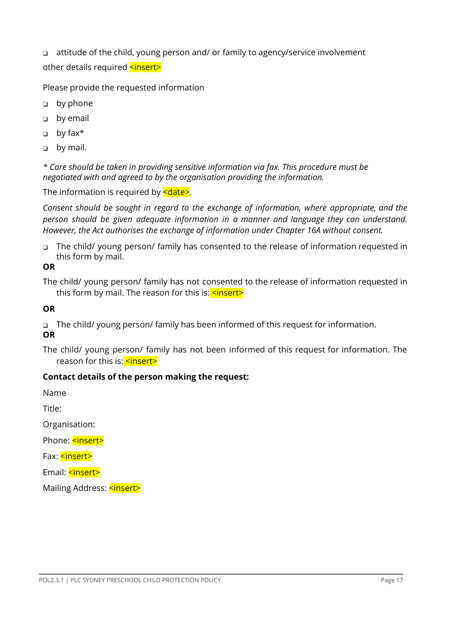❑ attitude of the child, young person and/ or family to agency/service involvement other details required <insert>

Please provide the requested information

- ❑ by phone
- ❑ by email
- ❑ by fax\*
- ❑ by mail.

*\* Care should be taken in providing sensitive information via fax. This procedure must be negotiated with and agreed to by the organisation providing the information.*

The information is required by  $\leq$  date>.

*Consent should be sought in regard to the exchange of information, where appropriate, and the person should be given adequate information in a manner and language they can understand. However, the Act authorises the exchange of information under Chapter 16A without consent.*

❑ The child/ young person/ family has consented to the release of information requested in this form by mail.

#### **OR**

The child/ young person/ family has not consented to the release of information requested in this form by mail. The reason for this is:  $\leq$  insert>

#### **OR**

❑ The child/ young person/ family has been informed of this request for information. **OR**

The child/ young person/ family has not been informed of this request for information. The reason for this is: **<insert>** 

### **Contact details of the person making the request:**

Name

Title:

Organisation:

Phone: <insert>

Fax: **<insert>** 

Email: <insert>

Mailing Address: <insert>